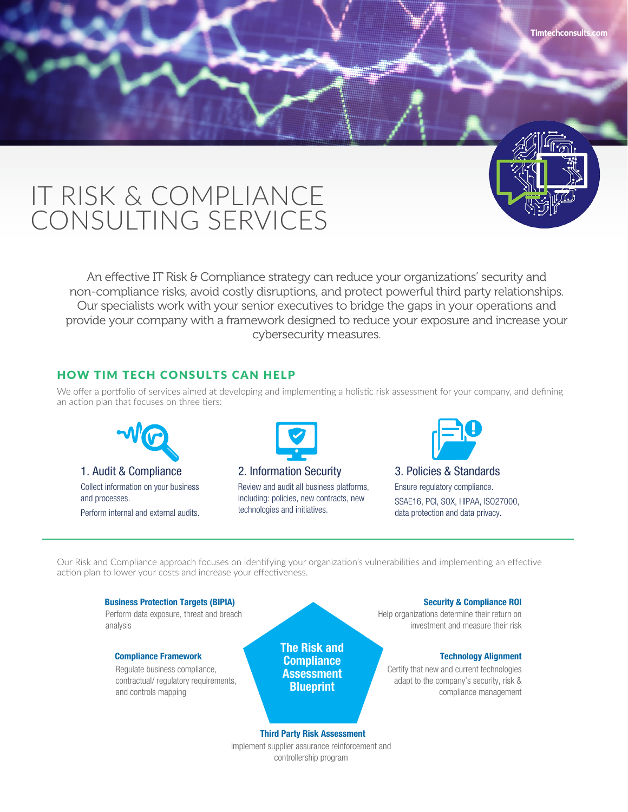# IT RISK & COMPLIANCE CONSULTING SERVICES

An effective IT Risk & Compliance strategy can reduce your organizations' security and non-compliance risks, avoid costly disruptions, and protect powerful third party relationships. Our specialists work with your senior executives to bridge the gaps in your operations and provide your company with a framework designed to reduce your exposure and increase your cybersecurity measures.

## HOW TIM TECH CONSULTS CAN HELP

We offer a portfolio of services aimed at developing and implementing a holistic risk assessment for your company, and defining an action plan that focuses on three tiers:



1. Audit & Compliance Collect information on your business and processes. Perform internal and external audits.



2. Information Security Review and audit all business platforms, including: policies, new contracts, new technologies and initiatives.



**Timtechconsults.com**

3. Policies & Standards Ensure regulatory compliance. SSAE16, PCI, SOX, HIPAA, ISO27000, data protection and data privacy.

Our Risk and Compliance approach focuses on identifying your organization's vulnerabilities and implementing an effective action plan to lower your costs and increase your effectiveness.

#### Perform data exposure, threat and breach analysis Help organizations determine their return on investment and measure their risk Certify that new and current technologies adapt to the company's security, risk & compliance management Regulate business compliance, contractual/ regulatory requirements, and controls mapping Business Protection Targets (BIPIA) Security & Compliance ROI Compliance Framework **Technology Alignment** Third Party Risk Assessment The Risk and **Compliance** Assessment **Blueprint**

Implement supplier assurance reinforcement and controllership program